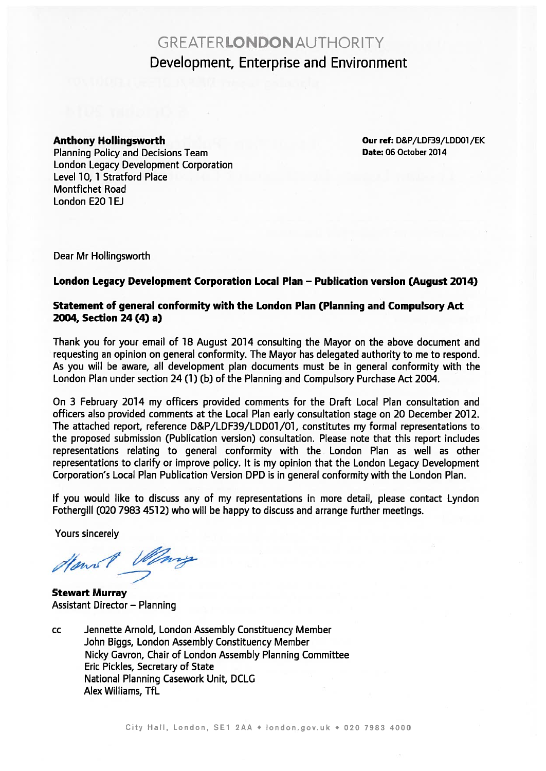# **GREATERLONDONAUTHORITY** Development, Enterprise and Environment

#### Anthony Hollingsworth **Our tel: D&P/LDF39/LDD01/EK**

Planning Policy and Decisions Team Date: 06 October 2014 London Legacy Development Corporation Level 10, 1 Stratford Place Montfichet Road London E20 1EJ

Dear Mr Hollingsworth

#### London Legacy Development Corporation Local Plan — Publication version (August 2014)

#### Statement of general conformity with the London Plan (Planning and Compulsory Act 2004, Section 24(4) a)

Thank you for your email of 18 August 2074 consulting the Mayor on the above document and requesting an opinion on general conformity. The Mayor has delegated authority to me to respond. As you will be aware, all development plan documents must be in general conformity with the London Plan under section 24 (1) (b) of the Planning and Compulsory Purchase Act 2004.

On 3 February 2014 my officers provided comments for the Draft Local Plan consultation and officers also provided comments at the Local Plan early consultation stage on 20 December 2012. The attached report, reference D&P/LDF39/LDDOJ/O1, constitutes my formal representations to the proposed submission (Publication version) consultation. Please note that this repor<sup>t</sup> includes representations relating to general conformity with the London Plan as well as other representations to clarify or improve policy. It is my opinion that the London Legacy Development Corporation's Local Plan Publication Version DPD is in general conformity with the London Plan.

If you would like to discuss any of my representations in more detail, please contact Lyndon Fothergill (020 7983 4512) who will be happy to discuss and arrange further meetings.

Yours sincerely

Hann't Wany

Stewart Murray Assistant Director — Planning

cc Jennette Arnold, London Assembly Constituency Member John Biggs, London Assembly Constituency Member Nicky Gavron, Chair of London Assembly Planning Committee Eric Pickles, Secretary of State National Planning Casework Unit, DCLG Alex Williams, TfL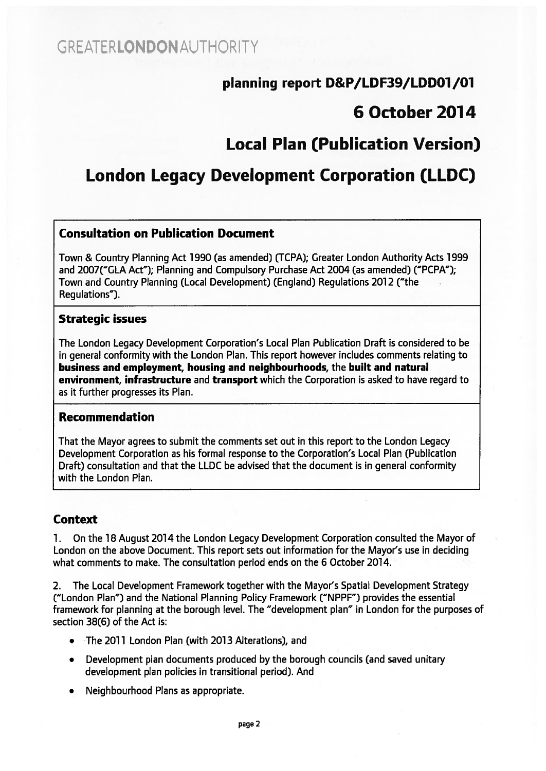# <sup>p</sup>lanning repor<sup>t</sup> D&P/LDF39/LDDOJ/01

# 6 October 2074

# Local Plan (Publication Version)

# London Legacy Development Corporation (LLDC)

# Consultation on Publication Document

Town & Country Planning Act 1 990 (as amended) (TCPA); Greater London Authority Acts 1999 and 2007("GLA Act"); Planning and Compulsory Purchase Act 2004 (as amended) ("PCPA"); Town and Country Planning (Local Development) (England) Regulations 2072 ("the Regulations").

# Strategic issues

The London Legacy Development Corporation's Local Plan Publication Draft is considered to be in general conformity with the London Plan. This repor<sup>t</sup> however includes comments relating to business and employment, housing and neighbourhoods, the built and natural environment, infrastructure and transport which the Corporation is asked to have regard to as it further progresses its Plan.

# Recommendation

That the Mayor agrees to submit the comments set out in this repor<sup>t</sup> to the London Legacy Development Corporation as his formal response to the Corporation's Local Plan (Publication Draft) consultation and that the LLDC be advised that the document is in general conformity with the London Plan.

# Context

1. On the 78 August 2014 the London Legacy Development Corporation consulted the Mayor of London on the above Document. This repor<sup>t</sup> sets out information for the Mayor's use in deciding what comments to make. The consultation period ends on the 6 October 2014.

2. The Local Development Framework together with the Mayor's Spatial Development Strategy ("London Plan") and the National Planning Policy Framework ("NPPF") provides the essential framework for planning at the borough level. The "development plan" in London for the purposes of section 38(6) of the Act is:

- The 2077 London Plan (with 2073 Alterations), and
- • Development plan documents produced by the borough councils (and saved unitary development plan policies in transitional period). And
- •Neighbourhood Plans as appropriate.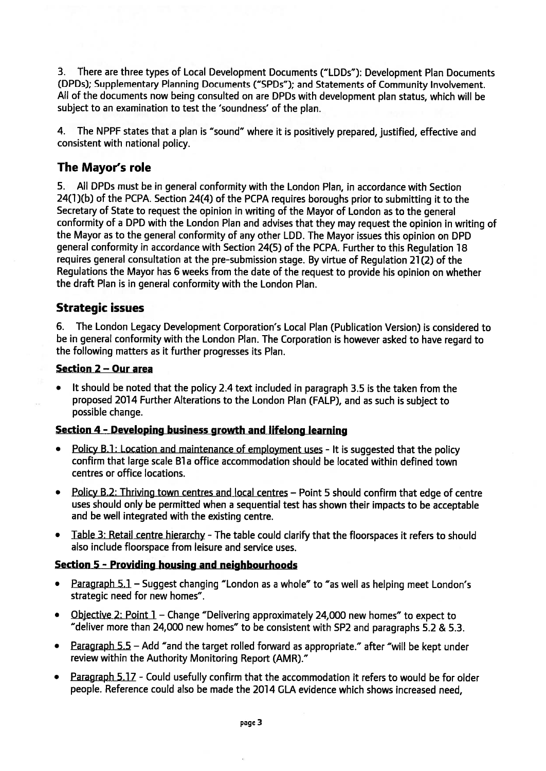3. There are three types of Local Development Documents ("LDDs"): Development Plan Documents (DPDs); Supplementary Planning Documents ("SPDs"); and Statements of Community Involvement. All of the documents now being consulted on are DPDs with development <sup>p</sup>lan status, which will be subject to an examination to test the 'soundness' of the <sup>p</sup>lan.

4. The NPPF states that <sup>a</sup> <sup>p</sup>lan is "sound" where it is positively prepared, justified, effective and consistent with national policy.

# The Mayor's role

5. All DPDs must be in general conformity with the London Plan, in accordance with Section 24(1 )(b) of the PCPA. Section 24(4) of the PCPA requires boroughs prior to submitting it to the Secretary of State to reques<sup>t</sup> the opinion in writing of the Mayor of London as to the genera<sup>l</sup> conformity of <sup>a</sup> DPD with the London Plan and advises that they may reques<sup>t</sup> the opinion in writing of the Mayor as to the genera<sup>l</sup> conformity of any other LDD. The Mayor issues this opinion on DPD genera<sup>l</sup> conformity in accordance with Section 24(5) of the PCPA. Further to this Regulation <sup>78</sup> requires general consultation at the pre-submission stage. By virtue of Regulation 21(2) of the Regulations the Mayor has <sup>6</sup> weeks from the date of the reques<sup>t</sup> to provide his opinion on whether the draft Plan is in general conformity with the London Plan.

# Strategic issues

6. The London Legacy Development Corporation's Local Plan (Publication Version) is considered to be in genera<sup>l</sup> conformity with the London Plan. The Corporation is however asked to have regar<sup>d</sup> to the following matters as it further progresses its Plan.

#### Section 2 — Our area

• It should be noted that the policy 2.4 text included in paragraph 3.5 is the taken from the proposed 2014 Further Alterations to the London Plan (FALP), and as such is subject to possible change.

#### Section 4 - Developing business growth and lifelong learning

- Policy B.1: Location and maintenance of employment uses It is suggested that the policy confirm that large scale Bla office accommodation should be located within defined town centres or office locations.
- Policy B.2: Thriving town centres and local centres Point 5 should confirm that edge of centre uses should only be permitted when <sup>a</sup> sequential test has shown their impacts to be acceptable and be well integrated with the existing centre.
- Table 3: Retail centre hierarchy The table could clarify that the floorspaces it refers to should also include floorspace from leisure and service uses.

#### Section 5 - Providing housing and neighbourhoods

- •Paragraph 5.1 – Suggest changing "London as a whole" to "as well as helping meet London's strategic need for new homes".
- •Objective 2: Point 1 - Change "Delivering approximately 24,000 new homes" to expect to "deliver more than 24,000 new homes" to be consistent with SP2 and paragraphs 5.2 & 5.3.
- $\bullet$ Paragraph  $5.5$  – Add "and the target rolled forward as appropriate." after "will be kept under review within the Authority Monitoring Report (AMR)."
- $\bullet$ Paragraph 5.17 - Could usefully confirm that the accommodation it refers to would be for older people. Reference could also be made the 2074 GLA evidence which shows increased need,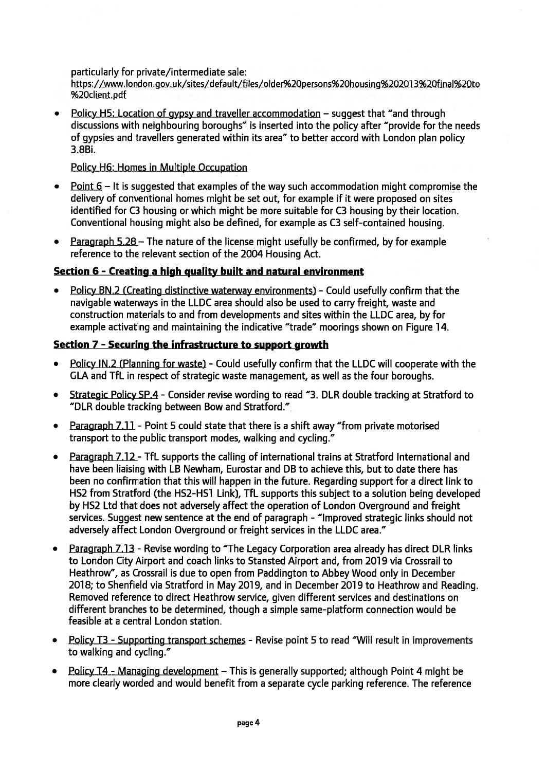particularly for private/intermediate sale:

littps://www.london gov.uk/site5/default/files/older%20persons%2Ohousing%202013%2Ofinal%2Oto %2Oclient.pdf

Policy H5: Location of gypsy and traveller accommodation – suggest that "and through discussions with neighbouring boroughs" is inserted into the policy after "provide for the needs of gypsies and travellers generated within its area" to better accord with London plan policy 3.8Bi.

#### Policy H6: Homes in Multiple Occupation

- Point  $6$  It is suggested that examples of the way such accommodation might compromise the delivery of conventional homes might be set out, for example if it were proposed on sites identified for C3 housing or which might be more suitable for C3 housing by their location. Conventional housing might also be defined, for example as C3 self-contained housing.
- •Paragraph  $5.28$  – The nature of the license might usefully be confirmed, by for example reference to the relevant section of the 2004 Housing Act.

#### Section 6 - Creating a high quality built and natural environment

Policy BN.2 (Creating distinctive waterway environments) - Could usefully confirm that the navigable waterways in the LLDC area should also be used to carry freight, waste and construction materials to and from developments and sites within the LLDC area, by for example activating and maintaining the indicative 'trade" moorings shown on Figure 14.

### Section 7 - Securing the infrastructure to support growth

- •Policy IN.2 (Planning for waste) - Could usefully confirm that the LLDC will cooperate with the GLA and TfL in respec<sup>t</sup> of strategic waste management, as well as the four boroughs.
- •Strategic Policy SP.4 - Consider revise wording to read "3. DLR double tracking at Stratford to "DLR double tracking between Bow and Stratford.".
- $\bullet$   $\;$  <u>Paragraph 7.11</u> Point 5 could state that there is a shift away "from private motorised transport to the public transport modes, walking and cycling."
- • Paragraph 7.12 -TfL supports the calling of international trains at Stratford International and have been liaising with LB Newham, Eurostar and DB to achieve this, but to date there has been no confirmation that this will happen in the future. Regarding suppor<sup>t</sup> for <sup>a</sup> direct link to HS2 from Stratford (the H52-HS1 Link), TfL supports this subject to <sup>a</sup> solution being developed by HS2 Ltd that does not adversely affect the operation of London Overground and freight services. Suggest new sentence at the end of paragraph - "Improved strategic links should not adversely affect London Overground or freight services in the LLDC area."
- •Paragraph 7.13 - Revise wording to "The Legacy Corporation area already has direct DLR links to London City Airport and coach links to Stansted Airport and, from 2019 via Crossrail to Heathrow", as Crossrail is due to open from Paddington to Abbey Wood only in December 2078; to Shenfield via Stratford in May 2019, and in December 2079 to Heathrow and Reading. Removed reference to direct Heathrow service, given different services and destinations on different branches to be determined, though <sup>a</sup> simple same-platform connection would be feasible at <sup>a</sup> central London station.
- •Policy T3 - Supporting transport schemes - Revise point 5 to read "Will result in improvements to walking and cycling."
- Policy T4 Managing development This is generally supported; although Point 4 might be more clearly worded and would benefit from <sup>a</sup> separate cycle parking reference. The reference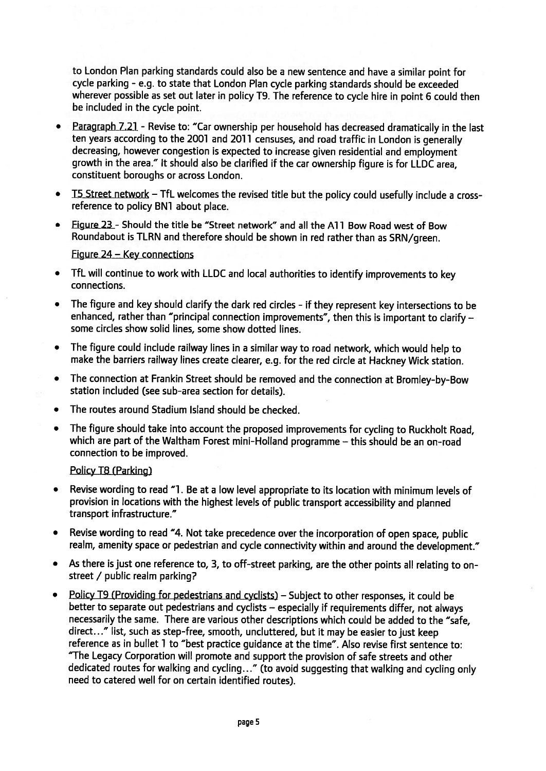to London Plan parking standards could also be <sup>a</sup> new sentence and have <sup>a</sup> similar point for cycle parking - e.g. to state that London Plan cycle parking standards should be exceeded wherever possible as set out later in policy T9. The reference to cycle hire in point 6 could then be included in the cycle point.

- Paragraph 7.21 Revise to: "Car ownership per household has decreased dramatically in the last ten years according to the 2001 and 2011 censuses, and road traffic in London is generally decreasing, however congestion is expected to increase <sup>g</sup>iven residential and employment growth in the area." It should also be clarified if the car ownership figure is for LLDC area, constituent boroughs or across London.
- • <sup>15</sup> Street network — TfL welcomes the revised title but the policy could usefully include <sup>a</sup> crossreference to policy BN1 about <sup>p</sup>lace.
- $\bullet$ Figure 23 - Should the title be "Street network" and all the A11 Bow Road west of Bow Roundabout is TLRN and therefore should be shown in red rather than as SRN/green.

#### Figure  $24$  – Key connections

- • TfL will continue to work with LLDC and local authorities to identify improvements to key connections.
- • The figure and key should clarify the dark red circles - if they represen<sup>t</sup> key intersections to be enhanced, rather than "principal connection improvements", then this is important to clarify some circles show solid lines, some show dotted lines.
- • The figure could include railway lines in <sup>a</sup> similar way to road network, which would help to make the barriers railway lines create clearer, e.g. for the red circle at Hackney Wick station.
- • The connection at Frankin Street should be removed and the connection at Bromley-by-Bow station included (see sub-area section for details).
- •The routes around Stadium Island should be checked.
- •The figure should take into account the proposed improvements for cycling to Ruckholt Road, which are par<sup>t</sup> of the Waltham Forest mini-Holland programme — this should be an on-road connection to be improved.

#### Policy T8 (Parking)

- •Revise wording to read "1. Be at a low level appropriate to its location with minimum levels of provision in locations with the highest levels of public transport accessibility and <sup>p</sup>lanned transport infrastructure."
- $\bullet$  Revise wording to read "4. Not take precedence over the incorporation of open space, public realm, amenity space or pedestrian and cycle connectivity within and around the development."
- As there is just one reference to, 3, to off-street parking, are the other points all relating to onstreet / public realm parking?
- Policy T9 (Providing for pedestrians and cyclists) Subject to other responses, it could be better to separate out pedestrians and cyclists — especially if requirements differ, not always necessarily the same. There are various other descriptions which could be added to the "safe, direct..." list, such as step-free, smooth, uncluttered, but it may be easier to just keep reference as in bullet 1 to "best practice quidance at the time". Also revise first sentence to: "The Legacy Corporation will promote and suppor<sup>t</sup> the provision of safe streets and other dedicated routes for walking and cycling..." (to avoid suggesting that walking and cycling only need to catered well for on certain identified routes).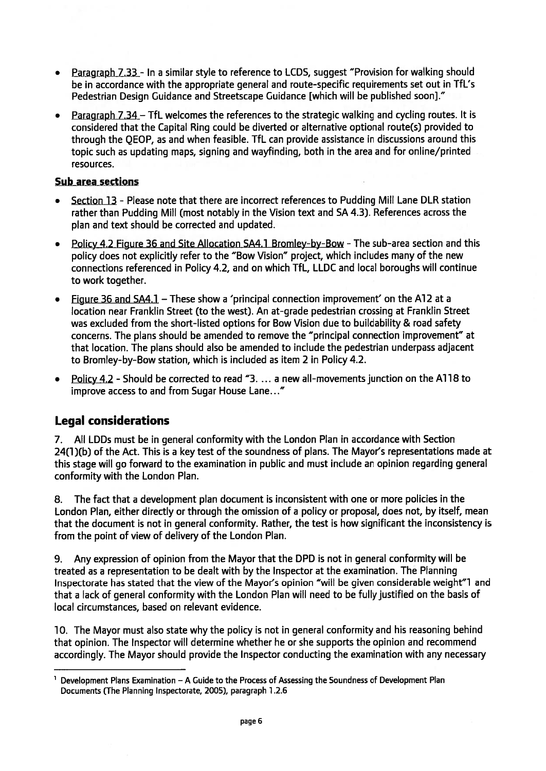- Paragraph 7.33 In <sup>a</sup> similar style to reference to LCDS, sugges<sup>t</sup> "Provision for walking should be in accordance with the appropriate general and route-specific requirements set out in TfL's Pedestrian Design Guidance and Streetscape Guidance [which will be published soon]."
- • Paragraph 7.34 — TfL welcomes the references to the strategic walking and cycling routes. It is considered that the Capital Ring could be diverted or alternative optional route(s) provided to through the QEOP, as and when feasible. TfL can provide assistance in discussions around this topic such as updating maps, signing and wayfinding, both in the area and for online/printed resources.

### Sub area sections

- Section 13 Please note that there are incorrect references to Pudding Mill Lane DLR station rather than Pudding Mill (most notably in the Vision text and SA 4.3). References across the plan and text should be corrected and updated.
- •Policy 4.2 Figure 36 and Site Allocation SA4.1 Bromley-by-Bow - The sub-area section and this policy does not explicitly refer to the "Bow Vision" project, which includes many of the new connections referenced in Policy 4.2, and on which TfL, LLDC and local boroughs will continue to work together.
- •Figure 36 and SA4.1 - These show a 'principal connection improvement' on the A12 at a location near Franklin Street (to the west). An at-grade pedestrian crossing at Franklin Street was excluded from the short-listed options for Bow Vision due to buildability & road safety concerns. The <sup>p</sup>lans should be amended to remove the "principal connection improvement" at that location. The plans should also be amended to include the pedestrian underpass adjacent to Bromley-by-Bow station, which is included as item 2 in Policy 4.2.
- •Policy 4.2 - Should be corrected to read  $-3$ .  $\dots$  a new all-movements junction on the A118 to improve access to and from Sugar House Lane..."

# Legal considerations

7. All LDDs must be in general conformity with the London Plan in accordance with Section 24(1)(b) of the Act. This is <sup>a</sup> key test of the soundness of plans. The Mayor's representations made at this stage will go forward to the examination in public and must include an opinion regarding general conformity with the London Plan.

8. The fact that <sup>a</sup> development plan document is inconsistent with one or more policies in the London Plan, either directly or through the omission of <sup>a</sup> policy or proposal, does not, by itself, mean that the document is not in general conformity. Rather, the test is how significant the inconsistency is from the point of view of delivery of the London Plan.

9. Any expression of opinion from the Mayor that the DPD is not in general conformity will be treated as <sup>a</sup> representation to be dealt with by the Inspector at the examination. The Planning Inspectorate has stated that the view of the Mayor's opinion "will be given considerable weight"l and that <sup>a</sup> lack of general conformity with the London Plan will need to be fully justified on the basis of local circumstances, based on relevant evidence.

10. The Mayor must also state why the policy is not in general conformity and his reasoning behind that opinion. The Inspector will determine whether he or she supports the opinion and recommend accordingly. The Mayor should provide the Inspector conducting the examination with any necessary

<sup>1</sup> Development Plans Examination — <sup>A</sup> Guide to the Process of Assessing the Soundness of Development Plan Documents (The Planning Inspectorate, 2005), paragraph 1 .2.6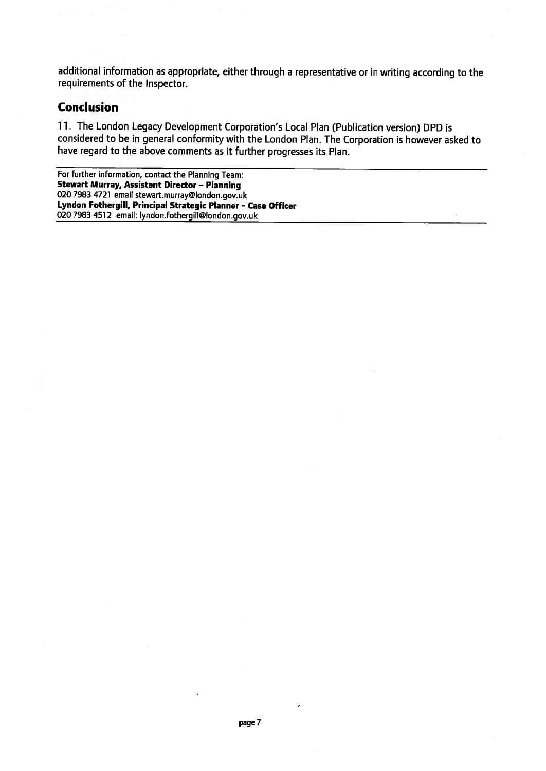additional information as appropriate, either through <sup>a</sup> representative or in writing according to the requirements of the Inspector.

# Conclusion

11. The London Legacy Development Corporation's Local Plan (Publication version) DPD is considered to be in genera<sup>l</sup> conformity with the London Plan. The Corporation is however asked to have regar<sup>d</sup> to the above comments as it further progresses its Plan.

For further information, contact the Planning Team: Stewart Murray, Assistant Director — Planning 020 7983 4721 email stewart.murray@london.gov.uk Lyndon Fothergill, Principal Strategic Planner - Case Officer 020 7983 4512 email: lyndon.fothergill@london.gov.uk